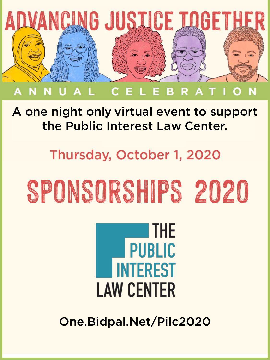

#### A one night only virtual event to support the Public Interest Law Center.

#### Thursday, October 1, 2020

# Sponsorships 2020

### **THE PUBLIC INTEREST LAW CENTER**

One.Bidpal.Net/Pilc2020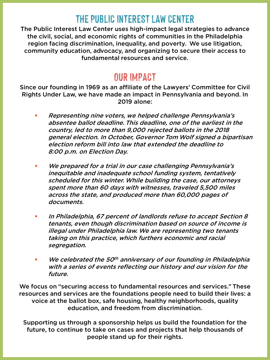#### **THE PUBLIC INTEREST LAW CENTER**

The Public Interest Law Center uses high-impact legal strategies to advance the civil, social, and economic rights of communities in the Philadelphia region facing discrimination, inequality, and poverty. We use litigation, community education, advocacy, and organizing to secure their access to fundamental resources and service.

#### **OUR IMPACT**

Since our founding in 1969 as an affiliate of the Lawyers' Committee for Civil Rights Under Law, we have made an impact in Pennsylvania and beyond. In 2019 alone:

- Representing nine voters, we helped challenge Pennsylvania's absentee ballot deadline. This deadline, one of the earliest in the country, led to more than 9,000 rejected ballots in the 2018 general election. In October, Governor Tom Wolf signed a bipartisan election reform bill into law that extended the deadline to 8:00 p.m. on Election Day.
- We prepared for a trial in our case challenging Pennsylvania's inequitable and inadequate school funding system, tentatively scheduled for this winter. While building the case, our attorneys spent more than 60 days with witnesses, traveled 5,500 miles across the state, and produced more than 60,000 pages of documents.
- In Philadelphia, 67 percent of landlords refuse to accept Section 8 tenants, even though discrimination based on source of income is illegal under Philadelphia law. We are representing two tenants taking on this practice, which furthers economic and racial segregation.
- $\blacksquare$  We celebrated the 50<sup>th</sup> anniversary of our founding in Philadelphia with a series of events reflecting our history and our vision for the future.

We focus on "securing access to fundamental resources and services." These resources and services are the foundations people need to build their lives: a voice at the ballot box, safe housing, healthy neighborhoods, quality education, and freedom from discrimination.

Supporting us through a sponsorship helps us build the foundation for the future, to continue to take on cases and projects that help thousands of people stand up for their rights.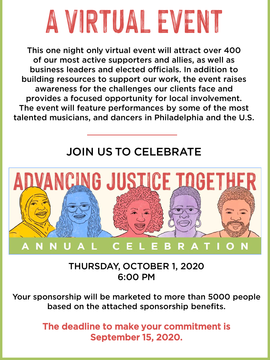

This one night only virtual event will attract over 400 of our most active supporters and allies, as well as business leaders and elected officials. In addition to building resources to support our work, the event raises awareness for the challenges our clients face and provides a focused opportunity for local involvement. The event will feature performances by some of the most talented musicians, and dancers in Philadelphia and the U.S.

#### JOIN US TO CELEBRATE



THURSDAY, OCTOBER 1, 2020 6:00 PM

Your sponsorship will be marketed to more than 5000 people based on the attached sponsorship benefits.

> The deadline to make your commitment is September 15, 2020.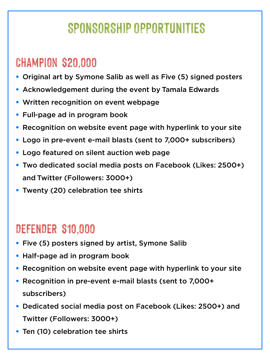#### **SPONSORSHIP OPPORTUNITIES**

#### **Champion \$20,000**

- Original art by Symone Salib as well as Five (5) signed posters
- Acknowledgement during the event by Tamala Edwards
- **Written recognition on event webpage**
- **Full-page ad in program book**
- **Recognition on website event page with hyperlink to your site**
- Logo in pre-event e-mail blasts (sent to 7,000+ subscribers)
- **Logo featured on silent auction web page**
- Two dedicated social media posts on Facebook (Likes: 2500+) and Twitter (Followers: 3000+)
- **Twenty (20) celebration tee shirts**

#### **DEFENDER \$10,000**

- **Five (5) posters signed by artist, Symone Salib**
- **Half-page ad in program book**
- **Recognition on website event page with hyperlink to your site**
- Recognition in pre-event e-mail blasts (sent to 7,000+ subscribers)
- Dedicated social media post on Facebook (Likes: 2500+) and Twitter (Followers: 3000+)
- **Ten (10) celebration tee shirts**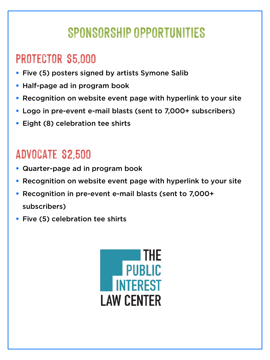#### **SPONSORSHIP OPPORTUNITIES**

#### **protector \$5,000**

- **Five (5) posters signed by artists Symone Salib**
- **Half-page ad in program book**
- **Recognition on website event page with hyperlink to your site**
- Logo in pre-event e-mail blasts (sent to 7,000+ subscribers)
- **Eight (8) celebration tee shirts**

#### **advocate \$2,500**

- **Quarter-page ad in program book**
- **Recognition on website event page with hyperlink to your site**
- Recognition in pre-event e-mail blasts (sent to 7,000+ subscribers)
- **Five (5) celebration tee shirts**

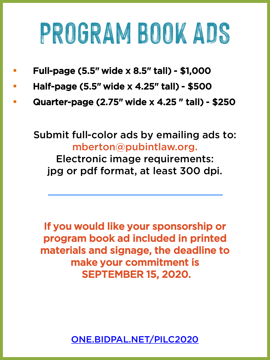## **PROGRAM BOOK ADS**

- Full-page (5.5" wide x 8.5" tall) \$1,000
- Half-page (5.5" wide x 4.25" tall) \$500
- Quarter-page (2.75" wide x 4.25 " tall) \$250

Submit full-color ads by emailing ads to: mberton@pubintlaw.org.

Electronic image requirements: jpg or pdf format, at least 300 dpi.

If you would like your sponsorship or program book ad included in printed materials and signage, the deadline to make your commitment is SEPTEMBER 15, 2020.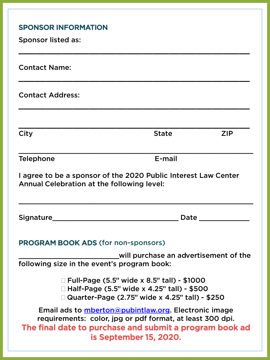| <b>SPONSOR INFORMATION</b><br><b>Sponsor listed as:</b>                                                                                                                                                        |                                                                                                                                                                                                                                |            |
|----------------------------------------------------------------------------------------------------------------------------------------------------------------------------------------------------------------|--------------------------------------------------------------------------------------------------------------------------------------------------------------------------------------------------------------------------------|------------|
| <b>Contact Name:</b>                                                                                                                                                                                           |                                                                                                                                                                                                                                |            |
| <b>Contact Address:</b>                                                                                                                                                                                        |                                                                                                                                                                                                                                |            |
| City                                                                                                                                                                                                           | <b>State</b>                                                                                                                                                                                                                   | <b>ZIP</b> |
| <b>Telephone</b>                                                                                                                                                                                               | E-mail                                                                                                                                                                                                                         |            |
| I agree to be a sponsor of the 2020 Public Interest Law Center<br>Annual Celebration at the following level:                                                                                                   |                                                                                                                                                                                                                                |            |
|                                                                                                                                                                                                                | Date the contract of the contract of the contract of the contract of the contract of the contract of the contract of the contract of the contract of the contract of the contract of the contract of the contract of the contr |            |
| <b>PROGRAM BOOK ADS (for non-sponsors)</b><br>will purchase an advertisement of the                                                                                                                            |                                                                                                                                                                                                                                |            |
| following size in the event's program book:                                                                                                                                                                    |                                                                                                                                                                                                                                |            |
| $\Box$ Full-Page (5.5" wide x 8.5" tall) - \$1000<br>□ Half-Page (5.5" wide x 4.25" tall) - \$500<br>□ Quarter-Page (2.75" wide x 4.25" tall) - \$250                                                          |                                                                                                                                                                                                                                |            |
| Email ads to <i>mberton@pubintlaw.org</i> . Electronic image<br>requirements: color, jpg or pdf format, at least 300 dpi.<br>The final date to purchase and submit a program book ad<br>is September 15, 2020. |                                                                                                                                                                                                                                |            |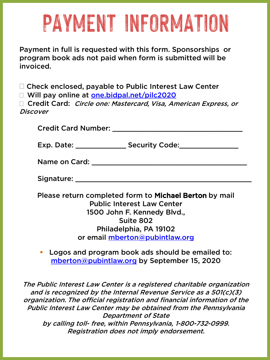### **PAYMENT INFORMATION**

Payment in full is requested with this form. Sponsorships or program book ads not paid when form is submitted will be invoiced.

□ Check enclosed, payable to Public Interest Law Center

□ Will pay online at [one.bidpal.net/pilc2020](https://one.bidpal.net/pilc2020)

□ Credit Card: Circle one: Mastercard, Visa, American Express, or **Discover** 

Credit Card Number: **Example 2018** 

Exp. Date: \_\_\_\_\_\_\_\_\_\_\_\_\_\_\_\_\_\_\_\_Security Code: \_\_\_\_\_\_\_\_\_\_\_\_\_\_\_\_\_\_\_\_\_\_\_\_\_\_\_\_\_\_\_\_\_\_

Name on Card: **We are also contained as a set of the set of the set of the set of the set of the set of the set of the set of the set of the set of the set of the set of the set of the set of the set of the set of the set** 

Signature:  $\Box$ 

Please return completed form to Michael Berton by mail Public Interest Law Center 1500 John F. Kennedy Blvd., Suite 802 Philadelphia, PA 19102 or email [mberton@pubintlaw.org](mailto:mberton@pubintlaw.org)

**Logos and program book ads should be emailed to:** [mberton@pubintlaw.org](mailto:mberton@pubintlaw.org) by September 15, 2020

The Public Interest Law Center is a registered charitable organization and is recognized by the Internal Revenue Service as a 501(c)(3) organization. The official registration and financial information of the Public Interest Law Center may be obtained from the Pennsylvania Department of State by calling toll- free, within Pennsylvania, 1-800-732-0999. Registration does not imply endorsement.